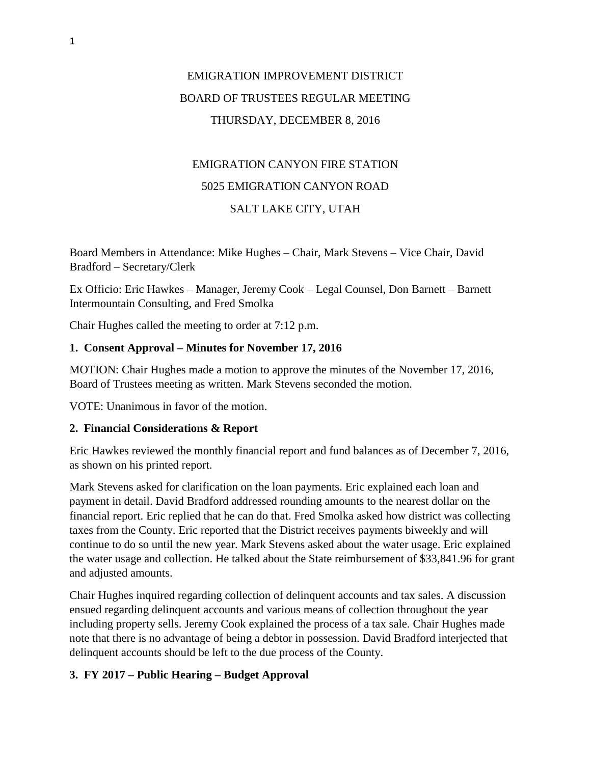# EMIGRATION IMPROVEMENT DISTRICT BOARD OF TRUSTEES REGULAR MEETING THURSDAY, DECEMBER 8, 2016

# EMIGRATION CANYON FIRE STATION 5025 EMIGRATION CANYON ROAD SALT LAKE CITY, UTAH

Board Members in Attendance: Mike Hughes – Chair, Mark Stevens – Vice Chair, David Bradford – Secretary/Clerk

Ex Officio: Eric Hawkes – Manager, Jeremy Cook – Legal Counsel, Don Barnett – Barnett Intermountain Consulting, and Fred Smolka

Chair Hughes called the meeting to order at 7:12 p.m.

#### **1. Consent Approval – Minutes for November 17, 2016**

MOTION: Chair Hughes made a motion to approve the minutes of the November 17, 2016, Board of Trustees meeting as written. Mark Stevens seconded the motion.

VOTE: Unanimous in favor of the motion.

#### **2. Financial Considerations & Report**

Eric Hawkes reviewed the monthly financial report and fund balances as of December 7, 2016, as shown on his printed report.

Mark Stevens asked for clarification on the loan payments. Eric explained each loan and payment in detail. David Bradford addressed rounding amounts to the nearest dollar on the financial report. Eric replied that he can do that. Fred Smolka asked how district was collecting taxes from the County. Eric reported that the District receives payments biweekly and will continue to do so until the new year. Mark Stevens asked about the water usage. Eric explained the water usage and collection. He talked about the State reimbursement of \$33,841.96 for grant and adjusted amounts.

Chair Hughes inquired regarding collection of delinquent accounts and tax sales. A discussion ensued regarding delinquent accounts and various means of collection throughout the year including property sells. Jeremy Cook explained the process of a tax sale. Chair Hughes made note that there is no advantage of being a debtor in possession. David Bradford interjected that delinquent accounts should be left to the due process of the County.

## **3. FY 2017 – Public Hearing – Budget Approval**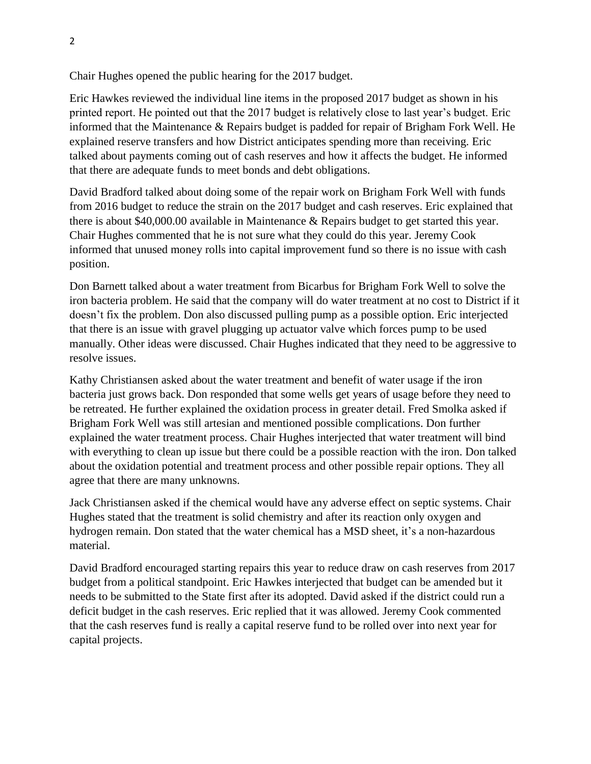Chair Hughes opened the public hearing for the 2017 budget.

Eric Hawkes reviewed the individual line items in the proposed 2017 budget as shown in his printed report. He pointed out that the 2017 budget is relatively close to last year's budget. Eric informed that the Maintenance & Repairs budget is padded for repair of Brigham Fork Well. He explained reserve transfers and how District anticipates spending more than receiving. Eric talked about payments coming out of cash reserves and how it affects the budget. He informed that there are adequate funds to meet bonds and debt obligations.

David Bradford talked about doing some of the repair work on Brigham Fork Well with funds from 2016 budget to reduce the strain on the 2017 budget and cash reserves. Eric explained that there is about \$40,000.00 available in Maintenance & Repairs budget to get started this year. Chair Hughes commented that he is not sure what they could do this year. Jeremy Cook informed that unused money rolls into capital improvement fund so there is no issue with cash position.

Don Barnett talked about a water treatment from Bicarbus for Brigham Fork Well to solve the iron bacteria problem. He said that the company will do water treatment at no cost to District if it doesn't fix the problem. Don also discussed pulling pump as a possible option. Eric interjected that there is an issue with gravel plugging up actuator valve which forces pump to be used manually. Other ideas were discussed. Chair Hughes indicated that they need to be aggressive to resolve issues.

Kathy Christiansen asked about the water treatment and benefit of water usage if the iron bacteria just grows back. Don responded that some wells get years of usage before they need to be retreated. He further explained the oxidation process in greater detail. Fred Smolka asked if Brigham Fork Well was still artesian and mentioned possible complications. Don further explained the water treatment process. Chair Hughes interjected that water treatment will bind with everything to clean up issue but there could be a possible reaction with the iron. Don talked about the oxidation potential and treatment process and other possible repair options. They all agree that there are many unknowns.

Jack Christiansen asked if the chemical would have any adverse effect on septic systems. Chair Hughes stated that the treatment is solid chemistry and after its reaction only oxygen and hydrogen remain. Don stated that the water chemical has a MSD sheet, it's a non-hazardous material.

David Bradford encouraged starting repairs this year to reduce draw on cash reserves from 2017 budget from a political standpoint. Eric Hawkes interjected that budget can be amended but it needs to be submitted to the State first after its adopted. David asked if the district could run a deficit budget in the cash reserves. Eric replied that it was allowed. Jeremy Cook commented that the cash reserves fund is really a capital reserve fund to be rolled over into next year for capital projects.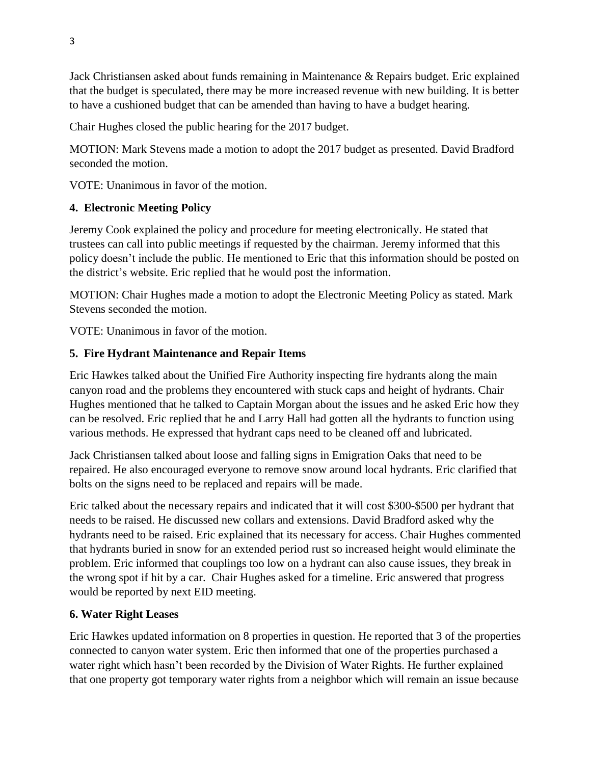Jack Christiansen asked about funds remaining in Maintenance & Repairs budget. Eric explained that the budget is speculated, there may be more increased revenue with new building. It is better to have a cushioned budget that can be amended than having to have a budget hearing.

Chair Hughes closed the public hearing for the 2017 budget.

MOTION: Mark Stevens made a motion to adopt the 2017 budget as presented. David Bradford seconded the motion.

VOTE: Unanimous in favor of the motion.

## **4. Electronic Meeting Policy**

Jeremy Cook explained the policy and procedure for meeting electronically. He stated that trustees can call into public meetings if requested by the chairman. Jeremy informed that this policy doesn't include the public. He mentioned to Eric that this information should be posted on the district's website. Eric replied that he would post the information.

MOTION: Chair Hughes made a motion to adopt the Electronic Meeting Policy as stated. Mark Stevens seconded the motion.

VOTE: Unanimous in favor of the motion.

#### **5. Fire Hydrant Maintenance and Repair Items**

Eric Hawkes talked about the Unified Fire Authority inspecting fire hydrants along the main canyon road and the problems they encountered with stuck caps and height of hydrants. Chair Hughes mentioned that he talked to Captain Morgan about the issues and he asked Eric how they can be resolved. Eric replied that he and Larry Hall had gotten all the hydrants to function using various methods. He expressed that hydrant caps need to be cleaned off and lubricated.

Jack Christiansen talked about loose and falling signs in Emigration Oaks that need to be repaired. He also encouraged everyone to remove snow around local hydrants. Eric clarified that bolts on the signs need to be replaced and repairs will be made.

Eric talked about the necessary repairs and indicated that it will cost \$300-\$500 per hydrant that needs to be raised. He discussed new collars and extensions. David Bradford asked why the hydrants need to be raised. Eric explained that its necessary for access. Chair Hughes commented that hydrants buried in snow for an extended period rust so increased height would eliminate the problem. Eric informed that couplings too low on a hydrant can also cause issues, they break in the wrong spot if hit by a car. Chair Hughes asked for a timeline. Eric answered that progress would be reported by next EID meeting.

#### **6. Water Right Leases**

Eric Hawkes updated information on 8 properties in question. He reported that 3 of the properties connected to canyon water system. Eric then informed that one of the properties purchased a water right which hasn't been recorded by the Division of Water Rights. He further explained that one property got temporary water rights from a neighbor which will remain an issue because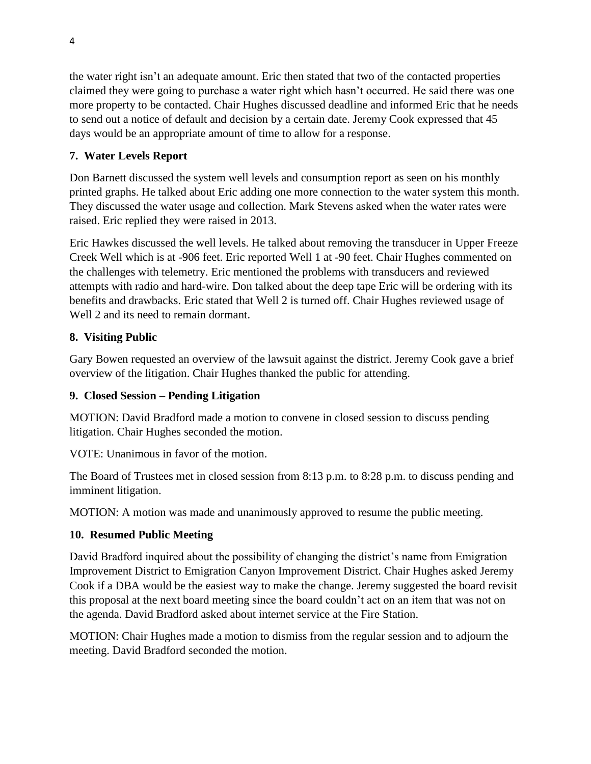the water right isn't an adequate amount. Eric then stated that two of the contacted properties claimed they were going to purchase a water right which hasn't occurred. He said there was one more property to be contacted. Chair Hughes discussed deadline and informed Eric that he needs to send out a notice of default and decision by a certain date. Jeremy Cook expressed that 45 days would be an appropriate amount of time to allow for a response.

## **7. Water Levels Report**

Don Barnett discussed the system well levels and consumption report as seen on his monthly printed graphs. He talked about Eric adding one more connection to the water system this month. They discussed the water usage and collection. Mark Stevens asked when the water rates were raised. Eric replied they were raised in 2013.

Eric Hawkes discussed the well levels. He talked about removing the transducer in Upper Freeze Creek Well which is at -906 feet. Eric reported Well 1 at -90 feet. Chair Hughes commented on the challenges with telemetry. Eric mentioned the problems with transducers and reviewed attempts with radio and hard-wire. Don talked about the deep tape Eric will be ordering with its benefits and drawbacks. Eric stated that Well 2 is turned off. Chair Hughes reviewed usage of Well 2 and its need to remain dormant.

# **8. Visiting Public**

Gary Bowen requested an overview of the lawsuit against the district. Jeremy Cook gave a brief overview of the litigation. Chair Hughes thanked the public for attending.

## **9. Closed Session – Pending Litigation**

MOTION: David Bradford made a motion to convene in closed session to discuss pending litigation. Chair Hughes seconded the motion.

VOTE: Unanimous in favor of the motion.

The Board of Trustees met in closed session from 8:13 p.m. to 8:28 p.m. to discuss pending and imminent litigation.

MOTION: A motion was made and unanimously approved to resume the public meeting.

# **10. Resumed Public Meeting**

David Bradford inquired about the possibility of changing the district's name from Emigration Improvement District to Emigration Canyon Improvement District. Chair Hughes asked Jeremy Cook if a DBA would be the easiest way to make the change. Jeremy suggested the board revisit this proposal at the next board meeting since the board couldn't act on an item that was not on the agenda. David Bradford asked about internet service at the Fire Station.

MOTION: Chair Hughes made a motion to dismiss from the regular session and to adjourn the meeting. David Bradford seconded the motion.